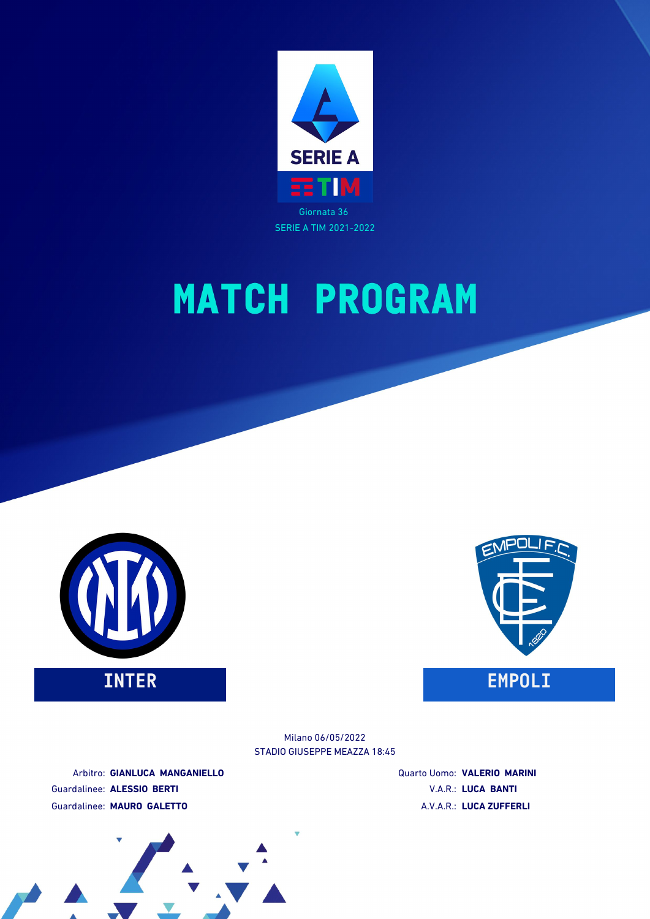

SERIE A TIM 2021-2022

# **MATCH PROGRAM**



STADIO GIUSEPPE MEAZZA 18:45 Milano 06/05/2022

Arbitro: **GIANLUCA MANGANIELLO** Guardalinee: **ALESSIO BERTI** Guardalinee: **MAURO GALETTO**

Quarto Uomo: **VALERIO MARINI** V.A.R.: **LUCA BANTI** A.V.A.R.: **LUCA ZUFFERLI**

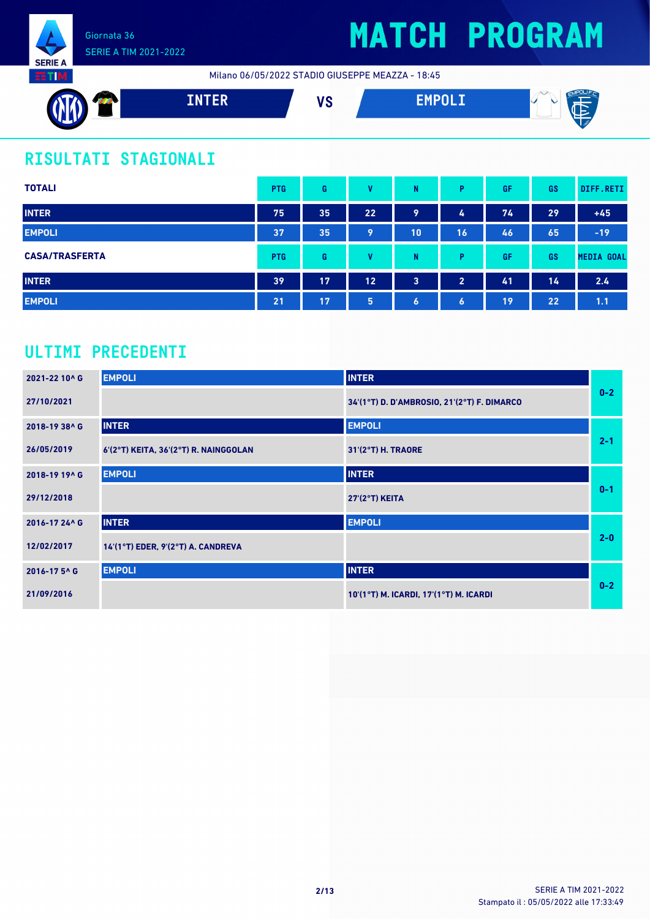

Milano 06/05/2022 STADIO GIUSEPPE MEAZZA - 18:45



### **RISULTATI STAGIONALI**

| <b>TOTALI</b>         | <b>PTG</b> | G  | v  | N              | Þ                | GF | GS | DIFF.RETI         |
|-----------------------|------------|----|----|----------------|------------------|----|----|-------------------|
| <b>INTER</b>          | 75         | 35 | 22 | 9              | 4                | 74 | 29 | $+45$             |
| <b>EMPOLI</b>         | 37         | 35 | 9  | 10             | 16               | 46 | 65 | $-19$             |
| <b>CASA/TRASFERTA</b> | <b>PTG</b> | G  | v  | N              | D                | GF | GS | <b>MEDIA GOAL</b> |
| <b>INTER</b>          | 39         | 17 | 12 | $\overline{3}$ | $\overline{2}$   | 41 | 14 | 2.4               |
| <b>EMPOLI</b>         | 21         | 17 | 5  | $\bullet$      | $\boldsymbol{6}$ | 19 | 22 | 1.1               |

### **ULTIMI PRECEDENTI**

| 2021-22 10^ G | <b>EMPOLI</b>                         | <b>INTER</b>                                |         |
|---------------|---------------------------------------|---------------------------------------------|---------|
| 27/10/2021    |                                       | 34'(1°T) D. D'AMBROSIO, 21'(2°T) F. DIMARCO | $0-2$   |
| 2018-19 38^ G | <b>INTER</b>                          | <b>EMPOLI</b>                               |         |
| 26/05/2019    | 6'(2°T) KEITA, 36'(2°T) R. NAINGGOLAN | 31'(2°T) H. TRAORE                          | $2 - 1$ |
| 2018-19 19^ G | <b>EMPOLI</b>                         | <b>INTER</b>                                |         |
| 29/12/2018    |                                       | <b>27'(2°T) KEITA</b>                       | $0 - 1$ |
| 2016-17 24^ G | <b>INTER</b>                          | <b>EMPOLI</b>                               |         |
| 12/02/2017    | $14'(1°T)$ EDER, 9'(2°T) A. CANDREVA  |                                             | $2 - 0$ |
| 2016-175^ G   | <b>EMPOLI</b>                         | <b>INTER</b>                                |         |
| 21/09/2016    |                                       | 10'(1°T) M. ICARDI, 17'(1°T) M. ICARDI      | $0-2$   |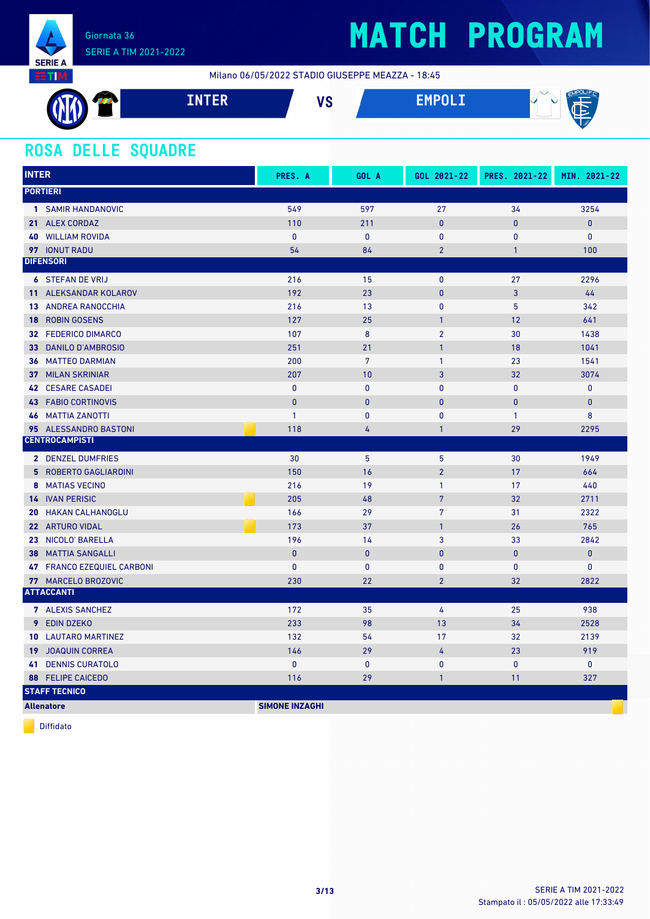

Milano 06/05/2022 STADIO GIUSEPPE MEAZZA - 18:45



#### **ROSA DELLE SQUADRE**

| <b>INTER</b>                   | PRES. A               | GOL A            | GOL 2021-22    | PRES. 2021-22  | MIN. 2021-22 |
|--------------------------------|-----------------------|------------------|----------------|----------------|--------------|
| <b>PORTIERI</b>                |                       |                  |                |                |              |
| 1 SAMIR HANDANOVIC             | 549                   | 597              | 27             | 34             | 3254         |
| 21 ALEX CORDAZ                 | 110                   | 211              | $\overline{0}$ | $\overline{0}$ | $\pmb{0}$    |
| <b>WILLIAM ROVIDA</b><br>40    | $\mathbf{0}$          | $\mathbf{0}$     | $\mathbf{0}$   | 0              | $\mathbf{0}$ |
| 97 IONUT RADU                  | 54                    | 84               | $\overline{2}$ | $\mathbf{1}$   | 100          |
| <b>DIFENSORI</b>               |                       |                  |                |                |              |
| <b>6 STEFAN DE VRIJ</b>        | 216                   | 15               | 0              | 27             | 2296         |
| 11 ALEKSANDAR KOLAROV          | 192                   | 23               | $\pmb{0}$      | $\overline{3}$ | 44           |
| <b>13 ANDREA RANOCCHIA</b>     | 216                   | 13               | 0              | 5              | 342          |
| <b>ROBIN GOSENS</b><br>18      | 127                   | 25               | $\mathbf{1}$   | 12             | 641          |
| 32 FEDERICO DIMARCO            | 107                   | $\boldsymbol{8}$ | $\overline{2}$ | 30             | 1438         |
| <b>DANILO D'AMBROSIO</b><br>33 | 251                   | 21               | $\mathbf{1}$   | 18             | 1041         |
| <b>36 MATTEO DARMIAN</b>       | 200                   | $\overline{7}$   | $\mathbf{1}$   | 23             | 1541         |
| <b>37 MILAN SKRINIAR</b>       | 207                   | 10               | $\overline{3}$ | 32             | 3074         |
| <b>42 CESARE CASADEI</b>       | $\pmb{0}$             | $\pmb{0}$        | 0              | $\mathbf{0}$   | $\pmb{0}$    |
| <b>43 FABIO CORTINOVIS</b>     | $\mathbf{0}$          | $\mathbf{0}$     | $\mathbf{0}$   | $\overline{0}$ | $\pmb{0}$    |
| <b>46 MATTIA ZANOTTI</b>       | $\mathbf{1}$          | $\mathbf{0}$     | $\mathbf{0}$   | $\mathbf{1}$   | 8            |
| 95 ALESSANDRO BASTONI          | 118                   | 4                | 1              | 29             | 2295         |
| <b>CENTROCAMPISTI</b>          |                       |                  |                |                |              |
| 2 DENZEL DUMFRIES              | 30                    | 5                | 5              | 30             | 1949         |
| <b>5 ROBERTO GAGLIARDINI</b>   | 150                   | 16               | $\overline{2}$ | 17             | 664          |
| 8 MATIAS VECINO                | 216                   | 19               | $\mathbf{1}$   | 17             | 440          |
| <b>14 IVAN PERISIC</b>         | 205                   | 48               | $\overline{7}$ | 32             | 2711         |
| <b>HAKAN CALHANOGLU</b><br>20  | 166                   | 29               | $\overline{7}$ | 31             | 2322         |
| 22 ARTURO VIDAL                | 173                   | 37               | $\mathbf{1}$   | 26             | 765          |
| 23 NICOLO' BARELLA             | 196                   | 14               | 3              | 33             | 2842         |
| <b>MATTIA SANGALLI</b><br>38   | $\mathbf{0}$          | $\mathbf{0}$     | $\mathbf{0}$   | 0              | $\pmb{0}$    |
| 47 FRANCO EZEQUIEL CARBONI     | $\mathbf{0}$          | $\mathbf{0}$     | 0              | $\mathbf{0}$   | $\pmb{0}$    |
| 77 MARCELO BROZOVIC            | 230                   | 22               | $\overline{2}$ | 32             | 2822         |
| <b>ATTACCANTI</b>              |                       |                  |                |                |              |
| 7 ALEXIS SANCHEZ               | 172                   | 35               | 4              | 25             | 938          |
| 9 EDIN DZEKO                   | 233                   | 98               | 13             | 34             | 2528         |
| <b>10 LAUTARO MARTINEZ</b>     | 132                   | 54               | 17             | 32             | 2139         |
| <b>19 JOAQUIN CORREA</b>       | 146                   | 29               | 4              | 23             | 919          |
| <b>DENNIS CURATOLO</b><br>41   | $\mathbf{0}$          | $\mathbf{0}$     | $\pmb{0}$      | 0              | $\mathbf{0}$ |
| <b>88 FELIPE CAICEDO</b>       | 116                   | 29               | $\mathbf{1}$   | 11             | 327          |
| <b>STAFF TECNICO</b>           |                       |                  |                |                |              |
| <b>Allenatore</b>              | <b>SIMONE INZAGHI</b> |                  |                |                |              |

Diffidato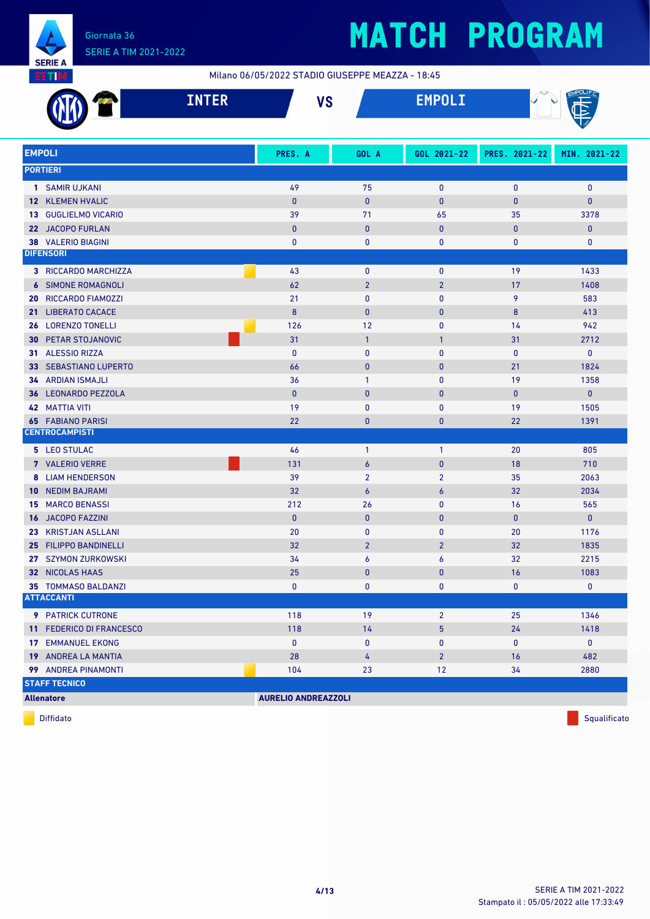

Milano 06/05/2022 STADIO GIUSEPPE MEAZZA - 18:45

|                 | <b>INTER</b>                | <b>VS</b>                  |                  | <b>EMPOLI</b>  |               |              |  |  |
|-----------------|-----------------------------|----------------------------|------------------|----------------|---------------|--------------|--|--|
| <b>EMPOLI</b>   |                             | PRES. A                    | GOL A            | GOL 2021-22    | PRES. 2021-22 | MIN. 2021-22 |  |  |
|                 | <b>PORTIERI</b>             |                            |                  |                |               |              |  |  |
|                 | 1 SAMIR UJKANI              | 49                         | 75               | 0              | 0             | 0            |  |  |
|                 | <b>12 KLEMEN HVALIC</b>     | $\mathbf{0}$               | $\bf{0}$         | $\mathbf 0$    | 0             | $\pmb{0}$    |  |  |
|                 | 13 GUGLIELMO VICARIO        | 39                         | 71               | 65             | 35            | 3378         |  |  |
|                 | 22 JACOPO FURLAN            | $\bf{0}$                   | $\bf{0}$         | $\mathbf 0$    | 0             | $\mathbf 0$  |  |  |
|                 | <b>38 VALERIO BIAGINI</b>   | 0                          | 0                | 0              | 0             | 0            |  |  |
|                 | <b>DIFENSORI</b>            |                            |                  |                |               |              |  |  |
|                 | <b>3 RICCARDO MARCHIZZA</b> | 43                         | 0                | $\mathbf 0$    | 19            | 1433         |  |  |
|                 | <b>6 SIMONE ROMAGNOLI</b>   | 62                         | $\overline{2}$   | $\overline{2}$ | 17            | 1408         |  |  |
| 20              | RICCARDO FIAMOZZI           | 21                         | $\pmb{0}$        | 0              | 9             | 583          |  |  |
| 21 <sup>2</sup> | <b>LIBERATO CACACE</b>      | 8                          | $\mathbf{0}$     | $\mathbf 0$    | 8             | 413          |  |  |
| 26              | <b>LORENZO TONELLI</b>      | 126                        | 12               | 0              | 14            | 942          |  |  |
| 30              | PETAR STOJANOVIC            | 31                         | $\overline{1}$   | 1              | 31            | 2712         |  |  |
|                 | 31 ALESSIO RIZZA            | $\mathbf{0}$               | 0                | 0              | 0             | 0            |  |  |
|                 | 33 SEBASTIANO LUPERTO       | 66                         | $\bf{0}$         | $\mathbf 0$    | 21            | 1824         |  |  |
| 34              | <b>ARDIAN ISMAJLI</b>       | 36                         | $\mathbf{1}$     | 0              | 19            | 1358         |  |  |
| 36              | <b>LEONARDO PEZZOLA</b>     | $\mathbf{0}$               | $\bf{0}$         | $\bf{0}$       | $\bf{0}$      | 0            |  |  |
|                 | <b>42 MATTIA VITI</b>       | 19                         | 0                | 0              | 19            | 1505         |  |  |
| 65              | <b>FABIANO PARISI</b>       | 22                         | $\bf{0}$         | $\bf{0}$       | 22            | 1391         |  |  |
|                 | <b>CENTROCAMPISTI</b>       |                            |                  |                |               |              |  |  |
|                 | 5 LEO STULAC                | 46                         | $\mathbf{1}$     | 1              | 20            | 805          |  |  |
|                 | 7 VALERIO VERRE             | 131                        | 6                | $\pmb{0}$      | 18            | 710          |  |  |
|                 | <b>8 LIAM HENDERSON</b>     | 39                         | $\overline{2}$   | $\overline{2}$ | 35            | 2063         |  |  |
| 10 <sup>°</sup> | <b>NEDIM BAJRAMI</b>        | 32                         | $\boldsymbol{6}$ | 6              | 32            | 2034         |  |  |
| 15              | <b>MARCO BENASSI</b>        | 212                        | 26               | 0              | 16            | 565          |  |  |
| 16              | <b>JACOPO FAZZINI</b>       | $\pmb{0}$                  | $\pmb{0}$        | 0              | $\bf{0}$      | $\pmb{0}$    |  |  |
| 23              | <b>KRISTJAN ASLLANI</b>     | 20                         | 0                | 0              | 20            | 1176         |  |  |
| 25              | <b>FILIPPO BANDINELLI</b>   | 32                         | $\overline{2}$   | $\overline{2}$ | 32            | 1835         |  |  |
|                 | 27 SZYMON ZURKOWSKI         | 34                         | 6                | 6              | 32            | 2215         |  |  |
|                 | 32 NICOLAS HAAS             | 25                         | $\pmb{0}$        | $\mathbf{0}$   | 16            | 1083         |  |  |
|                 | 35 TOMMASO BALDANZI         | 0                          | 0                | 0              | 0             | 0            |  |  |
|                 | <b>ATTACCANTI</b>           |                            |                  |                |               |              |  |  |
|                 | 9 PATRICK CUTRONE           | 118                        | 19               | $\overline{2}$ | 25            | 1346         |  |  |
|                 | 11 FEDERICO DI FRANCESCO    | 118                        | 14               | 5              | 24            | 1418         |  |  |
|                 | <b>17 EMMANUEL EKONG</b>    | $\mathbf 0$                | 0                | 0              | 0             | $\mathbf 0$  |  |  |
|                 | 19 ANDREA LA MANTIA         | 28                         | 4                | $2^{\circ}$    | 16            | 482          |  |  |
|                 | 99 ANDREA PINAMONTI         | 104                        | 23               | 12             | 34            | 2880         |  |  |
|                 | <b>STAFF TECNICO</b>        |                            |                  |                |               |              |  |  |
|                 | <b>Allenatore</b>           | <b>AURELIO ANDREAZZOLI</b> |                  |                |               |              |  |  |

diffidato de la contradictivitativa de la contradictivitativa de la contradictivitativa de la contradictivitativ<br>Diffidato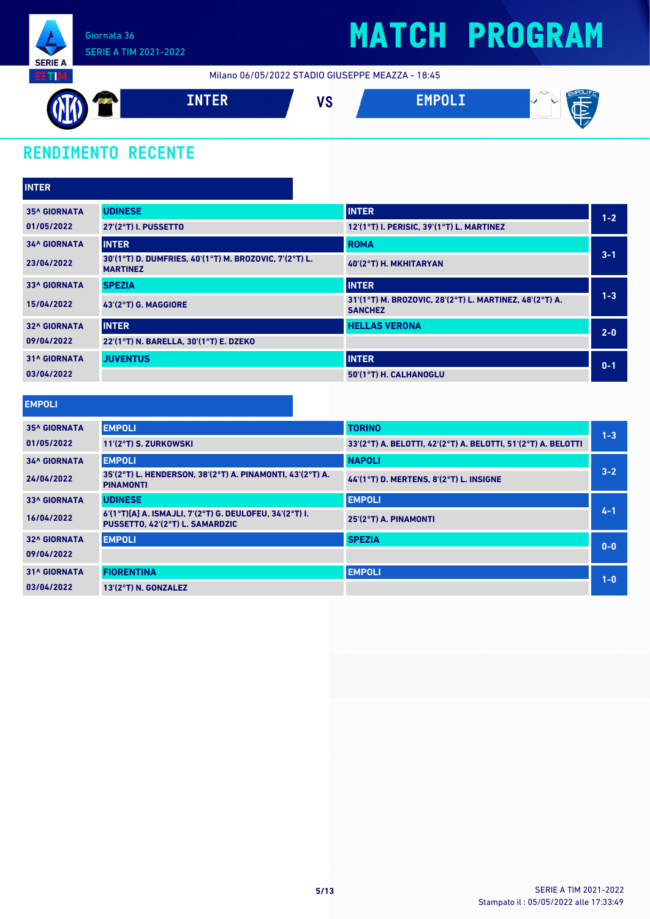

Milano 06/05/2022 STADIO GIUSEPPE MEAZZA - 18:45



### **RENDIMENTO RECENTE**

| <b>INTER</b>        |                                                                           |                                                                           |         |
|---------------------|---------------------------------------------------------------------------|---------------------------------------------------------------------------|---------|
| <b>35^ GIORNATA</b> | <b>UDINESE</b>                                                            | <b>INTER</b>                                                              | $1 - 2$ |
| 01/05/2022          | 27'(2°T) I. PUSSETTO                                                      | 12'(1°T) I. PERISIC, 39'(1°T) L. MARTINEZ                                 |         |
| <b>34^ GIORNATA</b> | <b>INTER</b>                                                              | <b>ROMA</b>                                                               |         |
| 23/04/2022          | 30'(1°T) D. DUMFRIES, 40'(1°T) M. BROZOVIC, 7'(2°T) L.<br><b>MARTINEZ</b> | 40'(2°T) H. MKHITARYAN                                                    | $3 - 1$ |
| <b>33^ GIORNATA</b> | <b>SPEZIA</b>                                                             | <b>INTER</b>                                                              |         |
| 15/04/2022          | 43'(2°T) G. MAGGIORE                                                      | 31'(1°T) M. BROZOVIC, 28'(2°T) L. MARTINEZ, 48'(2°T) A.<br><b>SANCHEZ</b> | $1 - 3$ |
| <b>32^ GIORNATA</b> | <b>INTER</b>                                                              | <b>HELLAS VERONA</b>                                                      | $2 - 0$ |
| 09/04/2022          | 22'(1°T) N. BARELLA, 30'(1°T) E. DZEKO                                    |                                                                           |         |
| <b>31^ GIORNATA</b> | <b>JUVENTUS</b>                                                           | <b>INTER</b>                                                              | $0 - 1$ |
| 03/04/2022          |                                                                           | 50'(1°T) H. CALHANOGLU                                                    |         |

#### **EMPOLI**

| $1 - 3$ |
|---------|
|         |
|         |
| $3 - 2$ |
|         |
| $4 - 1$ |
| $0 - 0$ |
|         |
| $1-0$   |
|         |
|         |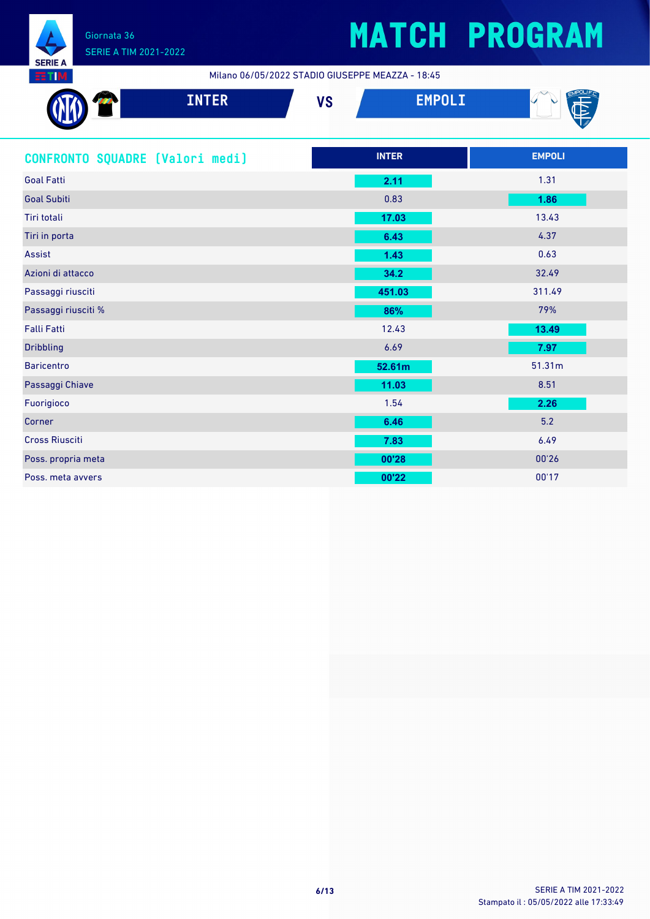

Milano 06/05/2022 STADIO GIUSEPPE MEAZZA - 18:45

| <b>INTER</b>                    | <b>VS</b> | <b>EMPOLI</b> |               |
|---------------------------------|-----------|---------------|---------------|
| CONFRONTO SQUADRE [Valori medi] |           | <b>INTER</b>  | <b>EMPOLI</b> |
| <b>Goal Fatti</b>               |           | 2.11          | 1.31          |
| <b>Goal Subiti</b>              |           | 0.83          | 1.86          |
| Tiri totali                     |           | 17.03         | 13.43         |
| Tiri in porta                   |           | 6.43          | 4.37          |
| <b>Assist</b>                   |           | 1.43          | 0.63          |
| Azioni di attacco               |           | 34.2          | 32.49         |
| Passaggi riusciti               |           | 451.03        | 311.49        |
| Passaggi riusciti %             |           | 86%           | 79%           |
| <b>Falli Fatti</b>              |           | 12.43         | 13.49         |
| <b>Dribbling</b>                |           | 6.69          | 7.97          |
| <b>Baricentro</b>               |           | 52.61m        | 51.31m        |
| Passaggi Chiave                 |           | 11.03         | 8.51          |
| Fuorigioco                      |           | 1.54          | 2.26          |
| Corner                          |           | 6.46          | 5.2           |
| <b>Cross Riusciti</b>           |           | 7.83          | 6.49          |
| Poss. propria meta              |           | 00'28         | 00'26         |
| Poss. meta avvers               |           | 00'22         | 00'17         |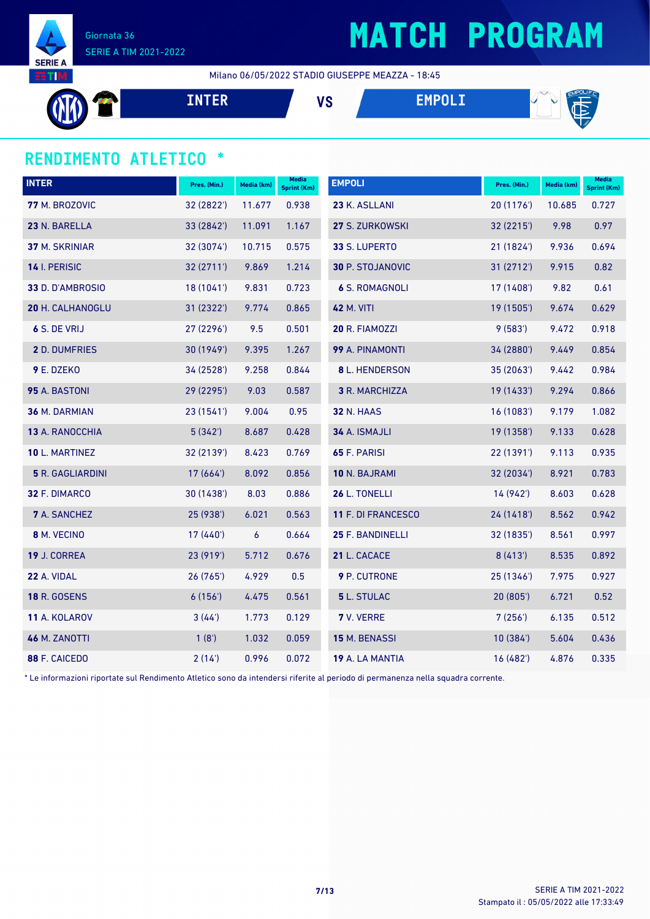

## **MATCH PROGRAM**

Milano 06/05/2022 STADIO GIUSEPPE MEAZZA - 18:45

| <u>the bill</u> | <b>VC</b><br>ט ו | -<br>$\mathbb{C}$<br><b>The Contract of the Contract of the Contract of the Contract of the Contract of The Contract of The Contract of The Contract of The Contract of The Contract of The Contract of The Contract of The Contract of The Contract </b><br>استنا |
|-----------------|------------------|--------------------------------------------------------------------------------------------------------------------------------------------------------------------------------------------------------------------------------------------------------------------|
|                 |                  | $\sim$ $\mu$                                                                                                                                                                                                                                                       |

#### **RENDIMENTO ATLETICO \***

| <b>INTER</b>            | Pres. (Min.) | Media (km)       | <b>Media</b><br>Sprint (Km) | <b>EMPOLI</b>           | Pres. (Min.) | Media (km) | <b>Media</b><br><b>Sprint (Km)</b> |
|-------------------------|--------------|------------------|-----------------------------|-------------------------|--------------|------------|------------------------------------|
| 77 M. BROZOVIC          | 32 (2822')   | 11.677           | 0.938                       | 23 K. ASLLANI           | 20 (1176')   | 10.685     | 0.727                              |
| 23 N. BARELLA           | 33 (2842')   | 11.091           | 1.167                       | 27 S. ZURKOWSKI         | 32 (2215')   | 9.98       | 0.97                               |
| <b>37 M. SKRINIAR</b>   | 32 (3074')   | 10.715           | 0.575                       | 33 S. LUPERTO           | 21(1824)     | 9.936      | 0.694                              |
| 14 I. PERISIC           | 32(2711)     | 9.869            | 1.214                       | <b>30 P. STOJANOVIC</b> | 31 (2712')   | 9.915      | 0.82                               |
| 33 D. D'AMBROSIO        | 18(1041)     | 9.831            | 0.723                       | <b>6 S. ROMAGNOLI</b>   | 17 (1408')   | 9.82       | 0.61                               |
| 20 H. CALHANOGLU        | 31 (2322')   | 9.774            | 0.865                       | <b>42 M. VITI</b>       | 19 (1505')   | 9.674      | 0.629                              |
| 6 S. DE VRIJ            | 27(2296)     | 9.5              | 0.501                       | 20 R. FIAMOZZI          | 9(583)       | 9.472      | 0.918                              |
| 2 D. DUMFRIES           | 30 (1949')   | 9.395            | 1.267                       | 99 A. PINAMONTI         | 34 (2880')   | 9.449      | 0.854                              |
| 9 E. DZEKO              | 34 (2528')   | 9.258            | 0.844                       | 8 L. HENDERSON          | 35(2063)     | 9.442      | 0.984                              |
| 95 A. BASTONI           | 29 (2295')   | 9.03             | 0.587                       | 3 R. MARCHIZZA          | 19 (1433')   | 9.294      | 0.866                              |
| 36 M. DARMIAN           | 23(1541)     | 9.004            | 0.95                        | <b>32 N. HAAS</b>       | 16(1083)     | 9.179      | 1.082                              |
| 13 A. RANOCCHIA         | 5(342)       | 8.687            | 0.428                       | 34 A. ISMAJLI           | 19 (1358')   | 9.133      | 0.628                              |
| 10 L. MARTINEZ          | 32 (2139')   | 8.423            | 0.769                       | 65 F. PARISI            | 22(1391)     | 9.113      | 0.935                              |
| <b>5</b> R. GAGLIARDINI | 17(664)      | 8.092            | 0.856                       | 10 N. BAJRAMI           | 32 (2034')   | 8.921      | 0.783                              |
| 32 F. DIMARCO           | 30 (1438')   | 8.03             | 0.886                       | 26 L. TONELLI           | 14 (942')    | 8.603      | 0.628                              |
| <b>7</b> A. SANCHEZ     | 25 (938')    | 6.021            | 0.563                       | 11 F. DI FRANCESCO      | 24 (1418')   | 8.562      | 0.942                              |
| 8 M. VECINO             | 17 (440')    | $\boldsymbol{6}$ | 0.664                       | 25 F. BANDINELLI        | 32 (1835')   | 8.561      | 0.997                              |
| 19 J. CORREA            | 23 (919')    | 5.712            | 0.676                       | 21 L. CACACE            | 8(413)       | 8.535      | 0.892                              |
| 22 A. VIDAL             | 26 (765')    | 4.929            | 0.5                         | 9 P. CUTRONE            | 25 (1346')   | 7.975      | 0.927                              |
| <b>18 R. GOSENS</b>     | 6(156)       | 4.475            | 0.561                       | 5 L. STULAC             | 20(805)      | 6.721      | 0.52                               |
| 11 A. KOLAROV           | 3(44')       | 1.773            | 0.129                       | 7 V. VERRE              | 7(256)       | 6.135      | 0.512                              |
| <b>46 M. ZANOTTI</b>    | 1(8')        | 1.032            | 0.059                       | 15 M. BENASSI           | 10(384)      | 5.604      | 0.436                              |
| 88 F. CAICEDO           | 2(14)        | 0.996            | 0.072                       | 19 A. LA MANTIA         | 16 (482')    | 4.876      | 0.335                              |

\* Le informazioni riportate sul Rendimento Atletico sono da intendersi riferite al periodo di permanenza nella squadra corrente.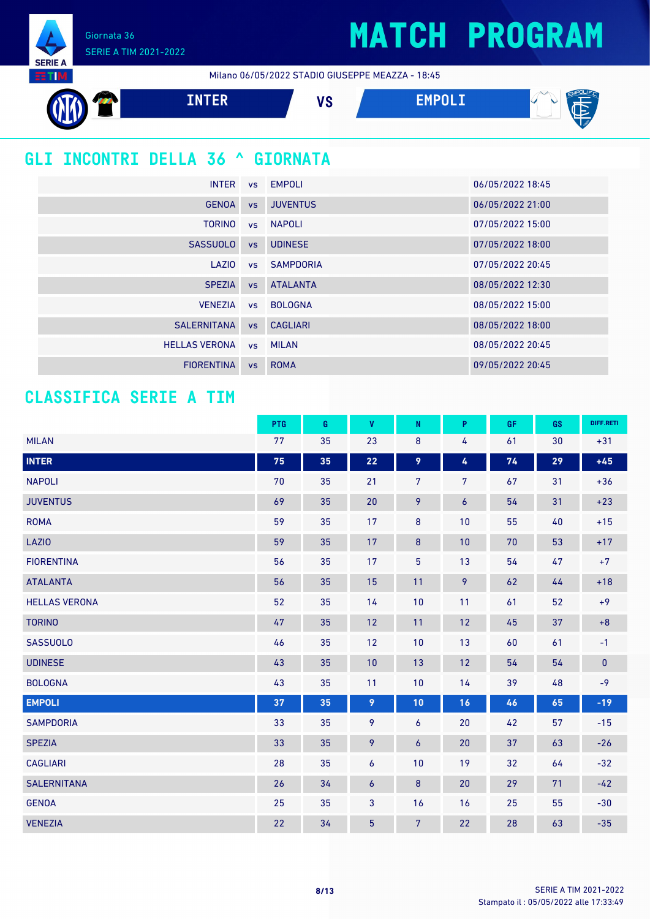Giornata 36 SERIE A TIM 2021-2022

**SERIE A EETIM** 

Milano 06/05/2022 STADIO GIUSEPPE MEAZZA - 18:45



### **GLI INCONTRI DELLA 36 ^ GIORNATA**

| <b>INTER</b>         |           | vs EMPOLI       | 06/05/2022 18:45 |
|----------------------|-----------|-----------------|------------------|
| <b>GENOA</b>         | <b>VS</b> | <b>JUVENTUS</b> | 06/05/2022 21:00 |
| <b>TORINO</b>        |           | vs NAPOLI       | 07/05/2022 15:00 |
| <b>SASSUOLO</b>      | <b>VS</b> | <b>UDINESE</b>  | 07/05/2022 18:00 |
| LAZIO                |           | vs SAMPDORIA    | 07/05/2022 20:45 |
| <b>SPEZIA</b>        | VS        | <b>ATALANTA</b> | 08/05/2022 12:30 |
| <b>VENEZIA</b>       |           | ys BOLOGNA      | 08/05/2022 15:00 |
| <b>SALERNITANA</b>   |           | vs CAGLIARI     | 08/05/2022 18:00 |
| <b>HELLAS VERONA</b> |           | vs MILAN        | 08/05/2022 20:45 |
| <b>FIORENTINA</b>    | <b>VS</b> | <b>ROMA</b>     | 09/05/2022 20:45 |

#### **CLASSIFICA SERIE A TIM**

|                      | PTG | G  | V              | N                | P                | <b>GF</b> | GS | DIFF.RETI |
|----------------------|-----|----|----------------|------------------|------------------|-----------|----|-----------|
| <b>MILAN</b>         | 77  | 35 | 23             | 8                | 4                | 61        | 30 | $+31$     |
| <b>INTER</b>         | 75  | 35 | 22             | 9                | 4                | 74        | 29 | $+45$     |
| <b>NAPOLI</b>        | 70  | 35 | 21             | $\overline{7}$   | $\overline{7}$   | 67        | 31 | $+36$     |
| <b>JUVENTUS</b>      | 69  | 35 | 20             | 9                | $\boldsymbol{6}$ | 54        | 31 | $+23$     |
| <b>ROMA</b>          | 59  | 35 | 17             | $\bf 8$          | 10               | 55        | 40 | $+15$     |
| <b>LAZIO</b>         | 59  | 35 | 17             | 8                | 10               | $70\,$    | 53 | $+17$     |
| <b>FIORENTINA</b>    | 56  | 35 | 17             | $\overline{5}$   | 13               | 54        | 47 | $+7$      |
| <b>ATALANTA</b>      | 56  | 35 | 15             | 11               | 9                | 62        | 44 | $+18$     |
| <b>HELLAS VERONA</b> | 52  | 35 | 14             | 10               | 11               | 61        | 52 | $+9$      |
| <b>TORINO</b>        | 47  | 35 | 12             | 11               | 12               | 45        | 37 | $+8$      |
| <b>SASSUOLO</b>      | 46  | 35 | 12             | 10               | 13               | 60        | 61 | $-1$      |
| <b>UDINESE</b>       | 43  | 35 | 10             | 13               | 12               | 54        | 54 | $\pmb{0}$ |
| <b>BOLOGNA</b>       | 43  | 35 | 11             | 10               | 14               | 39        | 48 | $-9$      |
| <b>EMPOLI</b>        | 37  | 35 | 9              | 10               | 16               | 46        | 65 | $-19$     |
| <b>SAMPDORIA</b>     | 33  | 35 | 9              | 6                | 20               | 42        | 57 | $-15$     |
| <b>SPEZIA</b>        | 33  | 35 | 9              | $\boldsymbol{6}$ | 20               | 37        | 63 | $-26$     |
| <b>CAGLIARI</b>      | 28  | 35 | 6              | 10               | 19               | 32        | 64 | $-32$     |
| <b>SALERNITANA</b>   | 26  | 34 | 6              | 8                | 20               | 29        | 71 | $-42$     |
| <b>GENOA</b>         | 25  | 35 | $\mathbf{3}$   | 16               | 16               | 25        | 55 | $-30$     |
| <b>VENEZIA</b>       | 22  | 34 | $\overline{5}$ | $\overline{7}$   | 22               | 28        | 63 | $-35$     |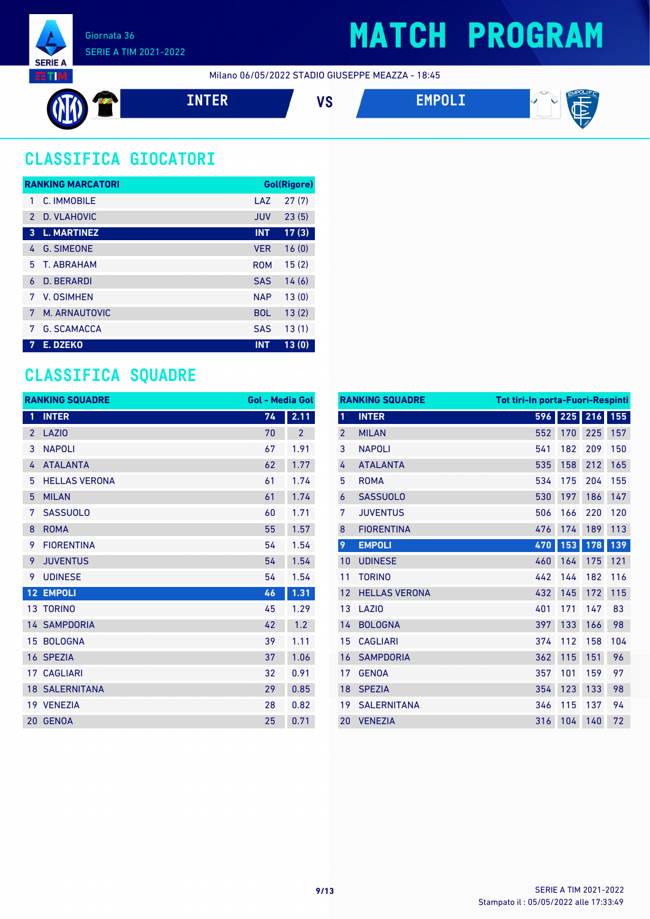

Milano 06/05/2022 STADIO GIUSEPPE MEAZZA - 18:45



### **CLASSIFICA GIOCATORI**

|               | <b>RANKING MARCATORI</b> |            | <b>Gol(Rigore)</b> |
|---------------|--------------------------|------------|--------------------|
| 1             | C. IMMOBILE              | LAZ        | 27(7)              |
| $\mathcal{P}$ | D. VLAHOVIC              | <b>JUV</b> | 23(5)              |
| 3             | <b>L. MARTINEZ</b>       | <b>INT</b> | 17(3)              |
| 4             | <b>G. SIMEONE</b>        | <b>VER</b> | 16(0)              |
| 5.            | <b>T. ABRAHAM</b>        | <b>ROM</b> | 15(2)              |
| 6             | <b>D. BERARDI</b>        | <b>SAS</b> | 14(6)              |
| 7             | <b>V. OSIMHEN</b>        | <b>NAP</b> | 13(0)              |
| 7             | M. ARNAUTOVIC            | <b>BOL</b> | 13(2)              |
| 7             | <b>G. SCAMACCA</b>       | <b>SAS</b> | 13(1)              |
| 7             | E. DZEKO                 | <b>INT</b> | 13(0)              |

#### **CLASSIFICA SQUADRE**

|                | <b>RANKING SQUADRE</b> | <b>Gol - Media Gol</b> |                |
|----------------|------------------------|------------------------|----------------|
| 1              | <b>INTER</b>           | 74                     | 2.11           |
| $\overline{2}$ | LAZI <sub>0</sub>      | 70                     | $\overline{2}$ |
| 3              | <b>NAPOLI</b>          | 67                     | 1.91           |
| 4              | <b>ATALANTA</b>        | 62                     | 1.77           |
| 5              | <b>HELLAS VERONA</b>   | 61                     | 1.74           |
| 5              | <b>MILAN</b>           | 61                     | 1.74           |
| 7              | <b>SASSUOLO</b>        | 60                     | 1.71           |
| 8              | <b>ROMA</b>            | 55                     | 1.57           |
| 9              | <b>FIORENTINA</b>      | 54                     | 1.54           |
| 9              | <b>JUVENTUS</b>        | 54                     | 1.54           |
| 9              | <b>UDINESE</b>         | 54                     | 1.54           |
| 12             | <b>EMPOLI</b>          | 46                     | 1.31           |
|                | 13 TORINO              | 45                     | 1.29           |
|                | <b>14 SAMPDORIA</b>    | 42                     | 1.2            |
| 15             | <b>BOLOGNA</b>         | 39                     | 1.11           |
|                | 16 SPEZIA              | 37                     | 1.06           |
|                | <b>17 CAGLIARI</b>     | 32                     | 0.91           |
|                | <b>18 SALERNITANA</b>  | 29                     | 0.85           |
|                | 19 VENEZIA             | 28                     | 0.82           |
| 20             | <b>GENOA</b>           | 25                     | 0.71           |

| <b>RANKING SQUADRE</b><br><b>Tot tiri-In porta-Fuori-Respinti</b> |                      |     |     |     |     |
|-------------------------------------------------------------------|----------------------|-----|-----|-----|-----|
| 1                                                                 | <b>INTER</b>         | 596 | 225 | 216 | 155 |
| $\overline{2}$                                                    | <b>MILAN</b>         | 552 | 170 | 225 | 157 |
| 3                                                                 | <b>NAPOLI</b>        | 541 | 182 | 209 | 150 |
| 4                                                                 | <b>ATALANTA</b>      | 535 | 158 | 212 | 165 |
| 5                                                                 | <b>ROMA</b>          | 534 | 175 | 204 | 155 |
| 6                                                                 | <b>SASSUOLO</b>      | 530 | 197 | 186 | 147 |
| 7                                                                 | <b>JUVENTUS</b>      | 506 | 166 | 220 | 120 |
| 8                                                                 | <b>FIORENTINA</b>    | 476 | 174 | 189 | 113 |
| 9                                                                 | <b>EMPOLI</b>        | 470 | 153 | 178 | 139 |
| 10                                                                | <b>UDINESE</b>       | 460 | 164 | 175 | 121 |
| 11                                                                | <b>TORINO</b>        | 442 | 144 | 182 | 116 |
| 12                                                                | <b>HELLAS VERONA</b> | 432 | 145 | 172 | 115 |
| 13                                                                | LAZI <sub>0</sub>    | 401 | 171 | 147 | 83  |
| 14                                                                | <b>BOLOGNA</b>       | 397 | 133 | 166 | 98  |
| 15                                                                | <b>CAGLIARI</b>      | 374 | 112 | 158 | 104 |
| 16                                                                | <b>SAMPDORIA</b>     | 362 | 115 | 151 | 96  |
| 17                                                                | <b>GENOA</b>         | 357 | 101 | 159 | 97  |
| 18                                                                | <b>SPEZIA</b>        | 354 | 123 | 133 | 98  |
| 19                                                                | <b>SALERNITANA</b>   | 346 | 115 | 137 | 94  |
| 20                                                                | <b>VENEZIA</b>       | 316 | 104 | 140 | 72  |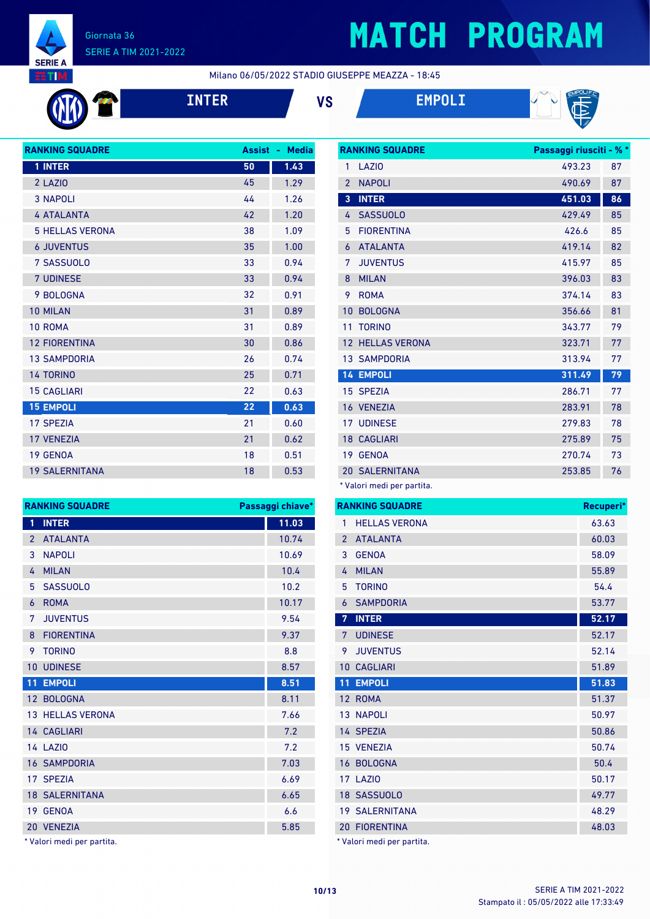

# **MATCH PROGRAM**

Milano 06/05/2022 STADIO GIUSEPPE MEAZZA - 18:45







| <b>Assist</b> | <b>Media</b><br>٠ |
|---------------|-------------------|
| 50            | 1.43              |
| 45            | 1.29              |
| 44            | 1.26              |
| 42            | 1.20              |
| 38            | 1.09              |
| 35            | 1.00              |
| 33            | 0.94              |
| 33            | 0.94              |
| 32            | 0.91              |
| 31            | 0.89              |
| 31            | 0.89              |
| 30            | 0.86              |
| 26            | 0.74              |
| 25            | 0.71              |
| 22            | 0.63              |
| 22            | 0.63              |
| 21            | 0.60              |
| 21            | 0.62              |
| 18            | 0.51              |
| 18            | 0.53              |
|               |                   |

| <b>RANKING SQUADRE</b> |                         | Passaggi chiave* |
|------------------------|-------------------------|------------------|
| $\mathbf{1}$           | <b>INTER</b>            | 11.03            |
| $\overline{2}$         | <b>ATALANTA</b>         | 10.74            |
| 3                      | <b>NAPOLI</b>           | 10.69            |
| 4                      | <b>MILAN</b>            | 10.4             |
| 5                      | <b>SASSUOLO</b>         | 10.2             |
| 6                      | <b>ROMA</b>             | 10.17            |
| 7                      | <b>JUVENTUS</b>         | 9.54             |
| 8                      | <b>FIORENTINA</b>       | 9.37             |
| 9                      | <b>TORINO</b>           | 8.8              |
| 10                     | <b>UDINESE</b>          | 8.57             |
| 11                     | <b>EMPOLI</b>           | 8.51             |
|                        | 12 BOLOGNA              | 8.11             |
|                        | <b>13 HELLAS VERONA</b> | 7.66             |
|                        | 14 CAGLIARI             | 7.2              |
|                        | <b>14 LAZIO</b>         | 7.2              |
|                        | <b>16 SAMPDORIA</b>     | 7.03             |
|                        | 17 SPEZIA               | 6.69             |
|                        | <b>18 SALERNITANA</b>   | 6.65             |
| 19                     | <b>GENOA</b>            | 6.6              |
|                        | 20 VENEZIA              | 5.85             |

\* Valori medi per partita.

|                | <b>RANKING SQUADRE</b>    | Passaggi riusciti - % * |    |
|----------------|---------------------------|-------------------------|----|
| 1              | LAZI <sub>0</sub>         | 493.23                  | 87 |
| $\overline{2}$ | <b>NAPOLI</b>             | 490.69                  | 87 |
| 3              | <b>INTER</b>              | 451.03                  | 86 |
| 4              | <b>SASSUOLO</b>           | 429.49                  | 85 |
| 5              | <b>FIORENTINA</b>         | 426.6                   | 85 |
| 6              | <b>ATALANTA</b>           | 419.14                  | 82 |
| 7              | <b>JUVENTUS</b>           | 415.97                  | 85 |
| 8              | <b>MILAN</b>              | 396.03                  | 83 |
| 9              | <b>ROMA</b>               | 374.14                  | 83 |
| 10             | <b>BOLOGNA</b>            | 356.66                  | 81 |
| 11             | <b>TORINO</b>             | 343.77                  | 79 |
| 12             | <b>HELLAS VERONA</b>      | 323.71                  | 77 |
|                | <b>13 SAMPDORIA</b>       | 313.94                  | 77 |
|                | <b>14 EMPOLI</b>          | 311.49                  | 79 |
|                | 15 SPEZIA                 | 286.71                  | 77 |
|                | 16 VENEZIA                | 283.91                  | 78 |
|                | <b>17 UDINESE</b>         | 279.83                  | 78 |
|                | <b>18 CAGLIARI</b>        | 275.89                  | 75 |
| 19             | <b>GENOA</b>              | 270.74                  | 73 |
|                | <b>20 SALERNITANA</b>     | 253.85                  | 76 |
|                | * Valori modi nor nartita |                         |    |

Valori medi per partita.

|                | <b>RANKING SQUADRE</b> | Recuperi* |
|----------------|------------------------|-----------|
| 1              | <b>HELLAS VERONA</b>   | 63.63     |
| $\overline{2}$ | <b>ATALANTA</b>        | 60.03     |
| 3              | <b>GENOA</b>           | 58.09     |
| 4              | <b>MILAN</b>           | 55.89     |
| 5              | <b>TORINO</b>          | 54.4      |
| 6              | <b>SAMPDORIA</b>       | 53.77     |
| 7              | <b>INTER</b>           | 52.17     |
| 7              | <b>UDINESE</b>         | 52.17     |
| 9              | <b>JUVENTUS</b>        | 52.14     |
| 10             | <b>CAGLIARI</b>        | 51.89     |
|                |                        |           |
| 11             | <b>EMPOLI</b>          | 51.83     |
|                | 12 ROMA                | 51.37     |
|                | 13 NAPOLI              | 50.97     |
|                | 14 SPEZIA              | 50.86     |
|                | 15 VENEZIA             | 50.74     |
| 16             | <b>BOLOGNA</b>         | 50.4      |
|                | <b>17 LAZIO</b>        | 50.17     |
|                | 18 SASSUOLO            | 49.77     |
|                | <b>19 SALERNITANA</b>  | 48.29     |
|                | <b>20 FIORENTINA</b>   | 48.03     |

Stampato il : 05/05/2022 alle 17:33:49 **10/13** SERIE A TIM 2021-2022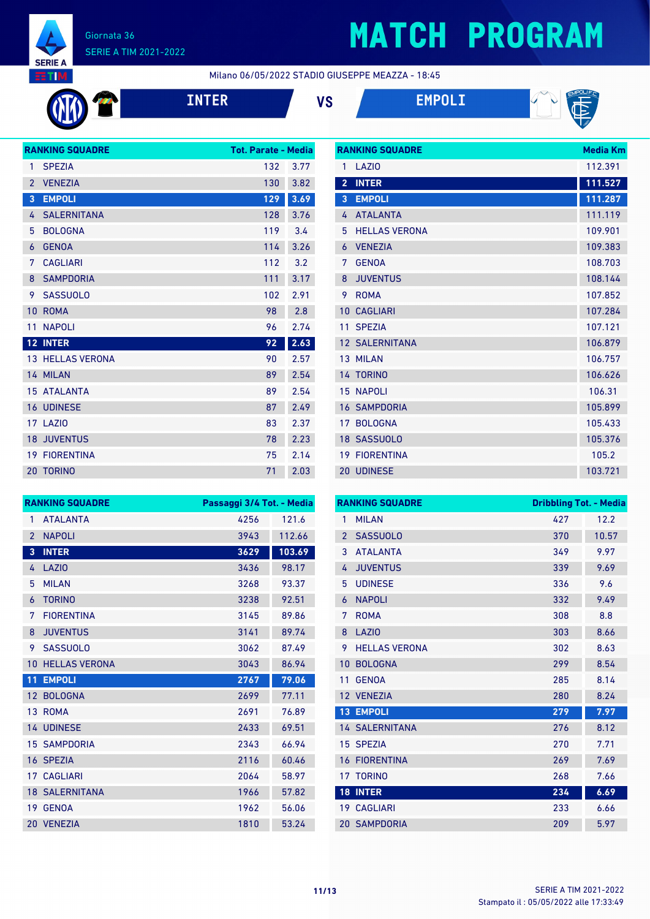

# **MATCH PROGRAM**

Milano 06/05/2022 STADIO GIUSEPPE MEAZZA - 18:45

**INTER VS EMPOLI**





|                | <b>RANKING SQUADRE</b>  | <b>Tot. Parate - Media</b> |      |
|----------------|-------------------------|----------------------------|------|
| 1              | <b>SPEZIA</b>           | 132                        | 3.77 |
| $\overline{2}$ | <b>VENEZIA</b>          | 130                        | 3.82 |
| 3              | <b>EMPOLI</b>           | 129                        | 3.69 |
| 4              | <b>SALERNITANA</b>      | 128                        | 3.76 |
| 5              | <b>BOLOGNA</b>          | 119                        | 3.4  |
| 6              | <b>GENOA</b>            | 114                        | 3.26 |
| 7              | <b>CAGLIARI</b>         | 112                        | 3.2  |
| 8              | <b>SAMPDORIA</b>        | 111                        | 3.17 |
| 9              | <b>SASSUOLO</b>         | 102                        | 2.91 |
| 10             | <b>ROMA</b>             | 98                         | 2.8  |
| 11             | <b>NAPOLI</b>           | 96                         | 2.74 |
|                | 12 INTER                | 92                         | 2.63 |
|                | <b>13 HELLAS VERONA</b> | 90                         | 2.57 |
|                | 14 MILAN                | 89                         | 2.54 |
|                | <b>15 ATALANTA</b>      | 89                         | 2.54 |
|                | <b>16 UDINESE</b>       | 87                         | 2.49 |
|                | 17 LAZIO                | 83                         | 2.37 |
|                | <b>18 JUVENTUS</b>      | 78                         | 2.23 |
|                | <b>19 FIORENTINA</b>    | 75                         | 2.14 |
| 20             | <b>TORINO</b>           | 71                         | 2.03 |
|                |                         |                            |      |

| <b>RANKING SQUADRE</b> |                       | <b>Media Km</b> |
|------------------------|-----------------------|-----------------|
| 1                      | LAZI <sub>0</sub>     | 112.391         |
| $\overline{2}$         | <b>INTER</b>          | 111.527         |
| 3                      | <b>EMPOLI</b>         | 111.287         |
| 4                      | <b>ATALANTA</b>       | 111.119         |
| 5                      | <b>HELLAS VERONA</b>  | 109.901         |
| 6                      | <b>VENEZIA</b>        | 109.383         |
| 7                      | <b>GENOA</b>          | 108.703         |
| 8                      | <b>JUVENTUS</b>       | 108.144         |
| 9                      | <b>ROMA</b>           | 107.852         |
| 10                     | <b>CAGLIARI</b>       | 107.284         |
| 11                     | <b>SPEZIA</b>         | 107.121         |
|                        | <b>12 SALERNITANA</b> | 106.879         |
|                        | 13 MILAN              | 106.757         |
|                        | 14 TORINO             | 106.626         |
|                        | <b>15 NAPOLI</b>      | 106.31          |
|                        | <b>16 SAMPDORIA</b>   | 105.899         |
| 17                     | <b>BOLOGNA</b>        | 105.433         |
|                        | 18 SASSUOLO           | 105.376         |
| 19                     | <b>FIORENTINA</b>     | 105.2           |
|                        | <b>20 UDINESE</b>     | 103.721         |

|                 | <b>RANKING SQUADRE</b> | Passaggi 3/4 Tot. - Media |        |
|-----------------|------------------------|---------------------------|--------|
| 1               | <b>ATALANTA</b>        | 4256                      | 121.6  |
| $\overline{2}$  | <b>NAPOLI</b>          | 3943                      | 112.66 |
| 3               | <b>INTER</b>           | 3629                      | 103.69 |
| 4               | <b>LAZIO</b>           | 3436                      | 98.17  |
| 5               | <b>MILAN</b>           | 3268                      | 93.37  |
| 6               | <b>TORINO</b>          | 3238                      | 92.51  |
| 7               | <b>FIORENTINA</b>      | 3145                      | 89.86  |
| 8               | <b>JUVENTUS</b>        | 3141                      | 89.74  |
| 9               | <b>SASSUOLO</b>        | 3062                      | 87.49  |
| 10              | <b>HELLAS VERONA</b>   | 3043                      | 86.94  |
| 11              | <b>EMPOLI</b>          | 2767                      | 79.06  |
| 12 <sup>2</sup> | <b>BOLOGNA</b>         | 2699                      | 77.11  |
|                 | 13 ROMA                | 2691                      | 76.89  |
|                 | 14 UDINESE             | 2433                      | 69.51  |
| 15 <sup>1</sup> | <b>SAMPDORIA</b>       | 2343                      | 66.94  |
| 16              | <b>SPEZIA</b>          | 2116                      | 60.46  |
| 17 <sup>2</sup> | <b>CAGLIARI</b>        | 2064                      | 58.97  |
|                 | <b>18 SALERNITANA</b>  | 1966                      | 57.82  |
| 19 <sup>°</sup> | <b>GENOA</b>           | 1962                      | 56.06  |
|                 | 20 VENEZIA             | 1810                      | 53.24  |

|                | <b>RANKING SQUADRE</b> | <b>Dribbling Tot. - Media</b> |       |
|----------------|------------------------|-------------------------------|-------|
| 1              | <b>MILAN</b>           | 427                           | 12.2  |
| $\overline{2}$ | <b>SASSUOLO</b>        | 370                           | 10.57 |
| 3              | <b>ATALANTA</b>        | 349                           | 9.97  |
| 4              | <b>JUVENTUS</b>        | 339                           | 9.69  |
| 5              | <b>UDINESE</b>         | 336                           | 9.6   |
| 6              | <b>NAPOLI</b>          | 332                           | 9.49  |
| 7              | <b>ROMA</b>            | 308                           | 8.8   |
| 8              | LAZIO                  | 303                           | 8.66  |
| 9              | <b>HELLAS VERONA</b>   | 302                           | 8.63  |
| 10             | <b>BOLOGNA</b>         | 299                           | 8.54  |
| 11             | <b>GENOA</b>           | 285                           | 8.14  |
| 12             | <b>VENEZIA</b>         | 280                           | 8.24  |
|                | <b>13 EMPOLI</b>       | 279                           | 7.97  |
|                | <b>14 SALERNITANA</b>  | 276                           | 8.12  |
|                | 15 SPEZIA              | 270                           | 7.71  |
| 16             | <b>FIORENTINA</b>      | 269                           | 7.69  |
| 17             | <b>TORINO</b>          | 268                           | 7.66  |
|                | <b>18 INTER</b>        | 234                           | 6.69  |
| 19             | <b>CAGLIARI</b>        | 233                           | 6.66  |
|                | <b>20 SAMPDORIA</b>    | 209                           | 5.97  |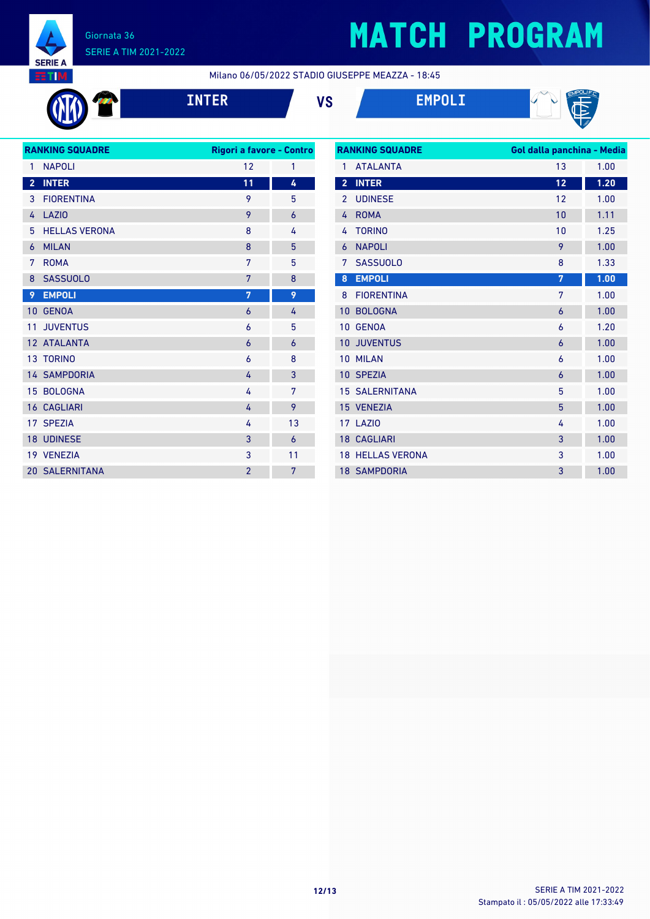

# **MATCH PROGRAM**

Milano 06/05/2022 STADIO GIUSEPPE MEAZZA - 18:45

**INTER VS EMPOLI**





| <b>RANKING SQUADRE</b> |                       | Rigori a favore - Contro |    |
|------------------------|-----------------------|--------------------------|----|
| 1                      | <b>NAPOLI</b>         | 12                       | 1  |
| $\overline{2}$         | <b>INTER</b>          | 11                       | 4  |
| 3                      | <b>FIORENTINA</b>     | 9                        | 5  |
| 4                      | <b>LAZIO</b>          | 9                        | 6  |
| 5                      | <b>HELLAS VERONA</b>  | 8                        | 4  |
| 6                      | <b>MILAN</b>          | 8                        | 5  |
| 7                      | <b>ROMA</b>           | 7                        | 5  |
| 8                      | <b>SASSUOLO</b>       | 7                        | 8  |
| 9                      | <b>EMPOLI</b>         | $\overline{7}$           | 9  |
| 10                     | <b>GENOA</b>          | 6                        | 4  |
| 11                     | <b>JUVENTUS</b>       | 6                        | 5  |
|                        | 12 ATALANTA           | 6                        | 6  |
|                        | <b>13 TORINO</b>      | 6                        | 8  |
|                        | <b>14 SAMPDORIA</b>   | 4                        | 3  |
|                        | 15 BOLOGNA            | 4                        | 7  |
|                        | <b>16 CAGLIARI</b>    | 4                        | 9  |
|                        | 17 SPEZIA             | 4                        | 13 |
|                        | <b>18 UDINESE</b>     | 3                        | 6  |
|                        | 19 VENEZIA            | 3                        | 11 |
|                        | <b>20 SALERNITANA</b> | $\overline{2}$           | 7  |
|                        |                       |                          |    |

| <b>RANKING SQUADRE</b> |                       | Gol dalla panchina - Media |      |  |
|------------------------|-----------------------|----------------------------|------|--|
| 1                      | <b>ATALANTA</b>       | 13                         | 1.00 |  |
| $\overline{2}$         | <b>INTER</b>          | 12                         | 1.20 |  |
| $\overline{2}$         | <b>UDINESE</b>        | 12                         | 1.00 |  |
| 4                      | <b>ROMA</b>           | 10                         | 1.11 |  |
| 4                      | <b>TORINO</b>         | 10                         | 1.25 |  |
| 6                      | <b>NAPOLI</b>         | 9                          | 1.00 |  |
| 7                      | <b>SASSUOLO</b>       | 8                          | 1.33 |  |
| 8                      | <b>EMPOLI</b>         | 7                          | 1.00 |  |
| 8                      | <b>FIORENTINA</b>     | 7                          | 1.00 |  |
| 10                     | <b>BOLOGNA</b>        | 6                          | 1.00 |  |
| 10                     | <b>GENOA</b>          | 6                          | 1.20 |  |
| 10                     | <b>JUVENTUS</b>       | 6                          | 1.00 |  |
| 10                     | <b>MILAN</b>          | 6                          | 1.00 |  |
|                        | 10 SPEZIA             | 6                          | 1.00 |  |
|                        | <b>15 SALERNITANA</b> | 5                          | 1.00 |  |
|                        | 15 VENEZIA            | 5                          | 1.00 |  |
|                        | 17 LAZIO              | 4                          | 1.00 |  |
|                        | <b>18 CAGLIARI</b>    | 3                          | 1.00 |  |
| 18                     | <b>HELLAS VERONA</b>  | 3                          | 1.00 |  |
|                        | <b>18 SAMPDORIA</b>   | 3                          | 1.00 |  |